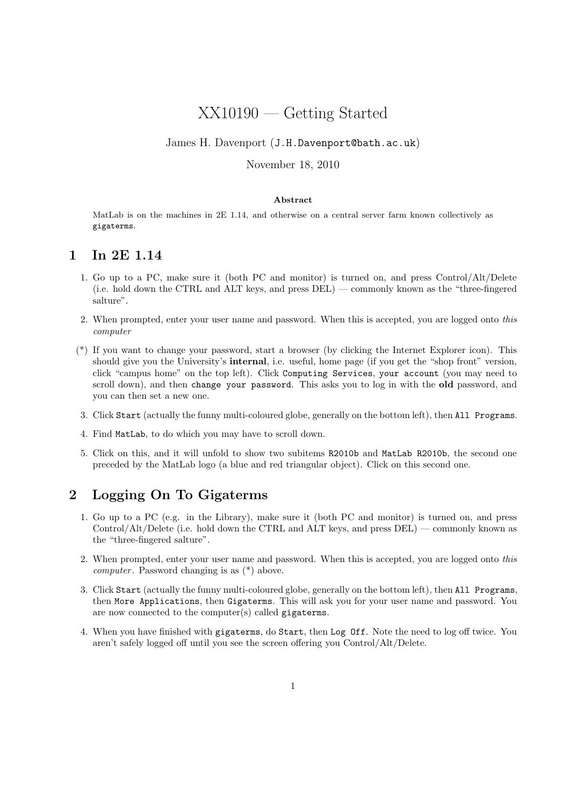# XX10190 — Getting Started

#### James H. Davenport (J.H.Davenport@bath.ac.uk)

#### November 18, 2010

#### Abstract

MatLab is on the machines in 2E 1.14, and otherwise on a central server farm known collectively as gigaterms.

#### 1 In 2E 1.14

- 1. Go up to a PC, make sure it (both PC and monitor) is turned on, and press Control/Alt/Delete (i.e. hold down the CTRL and ALT keys, and press DEL) — commonly known as the "three-fingered salture".
- 2. When prompted, enter your user name and password. When this is accepted, you are logged onto this computer
- (\*) If you want to change your password, start a browser (by clicking the Internet Explorer icon). This should give you the University's internal, i.e. useful, home page (if you get the "shop front" version, click "campus home" on the top left). Click Computing Services, your account (you may need to scroll down), and then change your password. This asks you to log in with the old password, and you can then set a new one.
- 3. Click Start (actually the funny multi-coloured globe, generally on the bottom left), then All Programs.
- 4. Find MatLab, to do which you may have to scroll down.
- 5. Click on this, and it will unfold to show two subitems R2010b and MatLab R2010b, the second one preceded by the MatLab logo (a blue and red triangular object). Click on this second one.

#### 2 Logging On To Gigaterms

- 1. Go up to a PC (e.g. in the Library), make sure it (both PC and monitor) is turned on, and press Control/Alt/Delete (i.e. hold down the CTRL and ALT keys, and press DEL) — commonly known as the "three-fingered salture".
- 2. When prompted, enter your user name and password. When this is accepted, you are logged onto this *computer*. Password changing is as  $(*)$  above.
- 3. Click Start (actually the funny multi-coloured globe, generally on the bottom left), then All Programs, then More Applications, then Gigaterms. This will ask you for your user name and password. You are now connected to the computer(s) called gigaterms.
- 4. When you have finished with gigaterms, do Start, then Log Off. Note the need to log off twice. You aren't safely logged off until you see the screen offering you Control/Alt/Delete.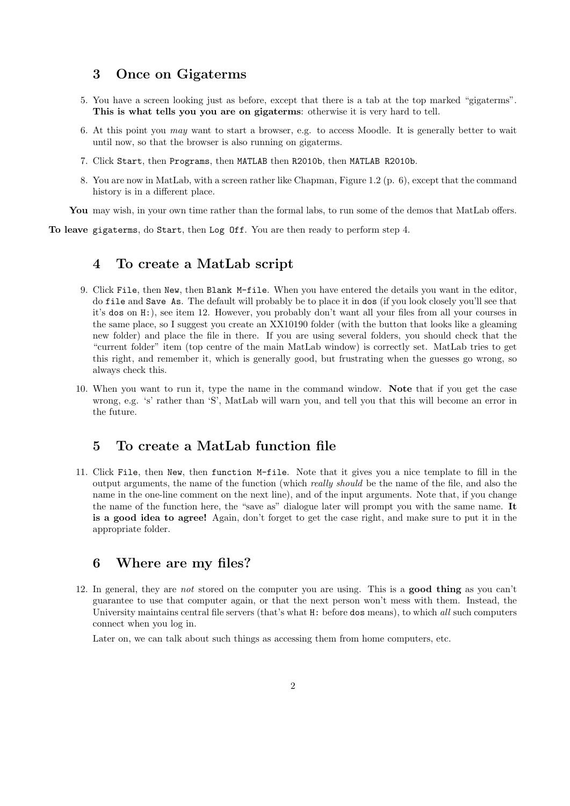#### 3 Once on Gigaterms

- 5. You have a screen looking just as before, except that there is a tab at the top marked "gigaterms". This is what tells you you are on gigaterms: otherwise it is very hard to tell.
- 6. At this point you may want to start a browser, e.g. to access Moodle. It is generally better to wait until now, so that the browser is also running on gigaterms.
- 7. Click Start, then Programs, then MATLAB then R2010b, then MATLAB R2010b.
- 8. You are now in MatLab, with a screen rather like Chapman, Figure 1.2 (p. 6), except that the command history is in a different place.

You may wish, in your own time rather than the formal labs, to run some of the demos that MatLab offers.

To leave gigaterms, do Start, then Log Off. You are then ready to perform step 4.

#### 4 To create a MatLab script

- 9. Click File, then New, then Blank M-file. When you have entered the details you want in the editor, do file and Save As. The default will probably be to place it in dos (if you look closely you'll see that it's dos on H:), see item 12. However, you probably don't want all your files from all your courses in the same place, so I suggest you create an XX10190 folder (with the button that looks like a gleaming new folder) and place the file in there. If you are using several folders, you should check that the "current folder" item (top centre of the main MatLab window) is correctly set. MatLab tries to get this right, and remember it, which is generally good, but frustrating when the guesses go wrong, so always check this.
- 10. When you want to run it, type the name in the command window. Note that if you get the case wrong, e.g. 's' rather than 'S', MatLab will warn you, and tell you that this will become an error in the future.

#### 5 To create a MatLab function file

11. Click File, then New, then function M-file. Note that it gives you a nice template to fill in the output arguments, the name of the function (which really should be the name of the file, and also the name in the one-line comment on the next line), and of the input arguments. Note that, if you change the name of the function here, the "save as" dialogue later will prompt you with the same name. It is a good idea to agree! Again, don't forget to get the case right, and make sure to put it in the appropriate folder.

#### 6 Where are my files?

12. In general, they are not stored on the computer you are using. This is a good thing as you can't guarantee to use that computer again, or that the next person won't mess with them. Instead, the University maintains central file servers (that's what H: before dos means), to which all such computers connect when you log in.

Later on, we can talk about such things as accessing them from home computers, etc.